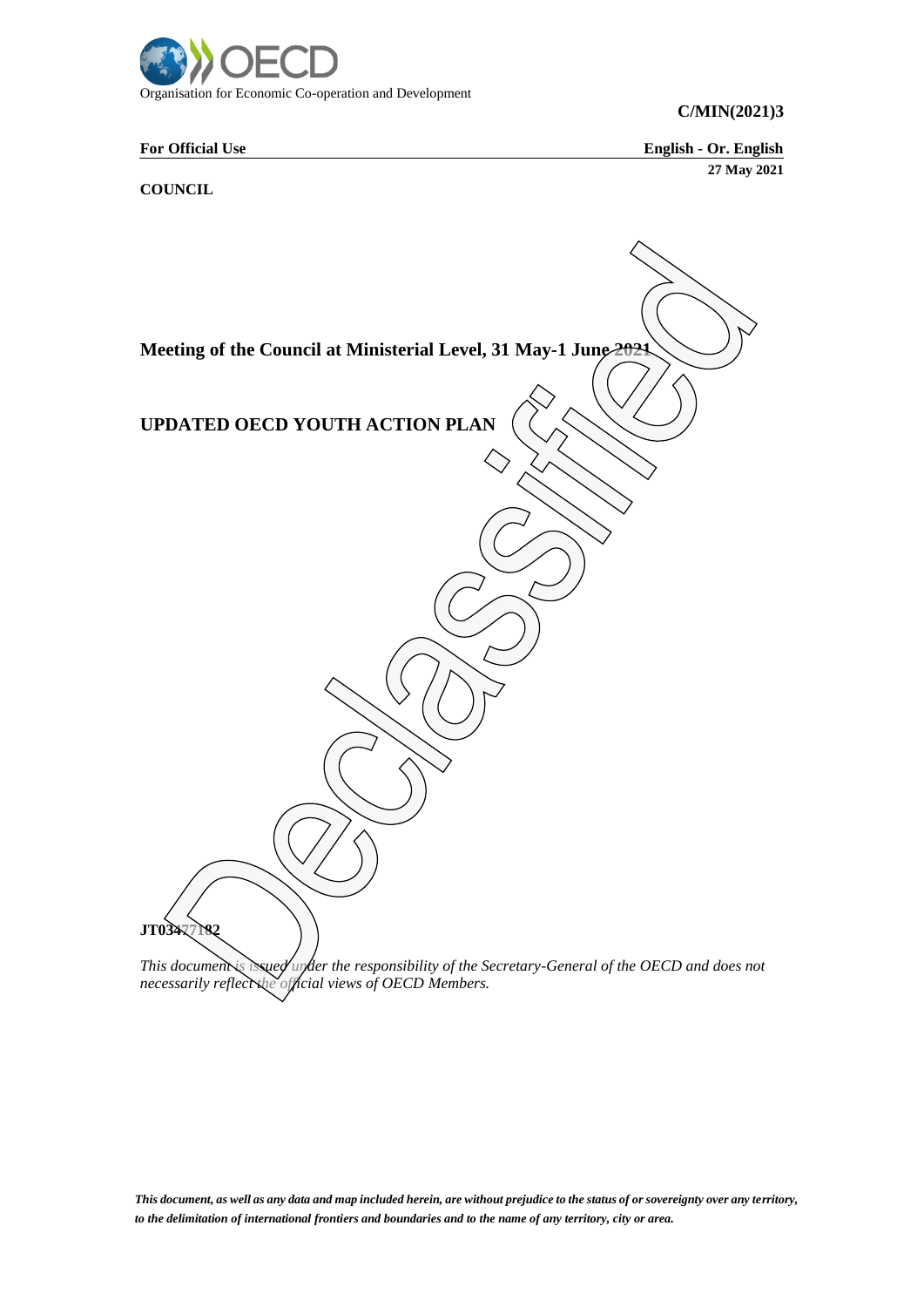

**C/MIN(2021)3**

**For Official Use English - Or. English 27 May 2021**

# **COUNCIL**



*necessarily reflect the official views of OECD Members.*

*This document, as well as any data and map included herein, are without prejudice to the status of or sovereignty over any territory, to the delimitation of international frontiers and boundaries and to the name of any territory, city or area.*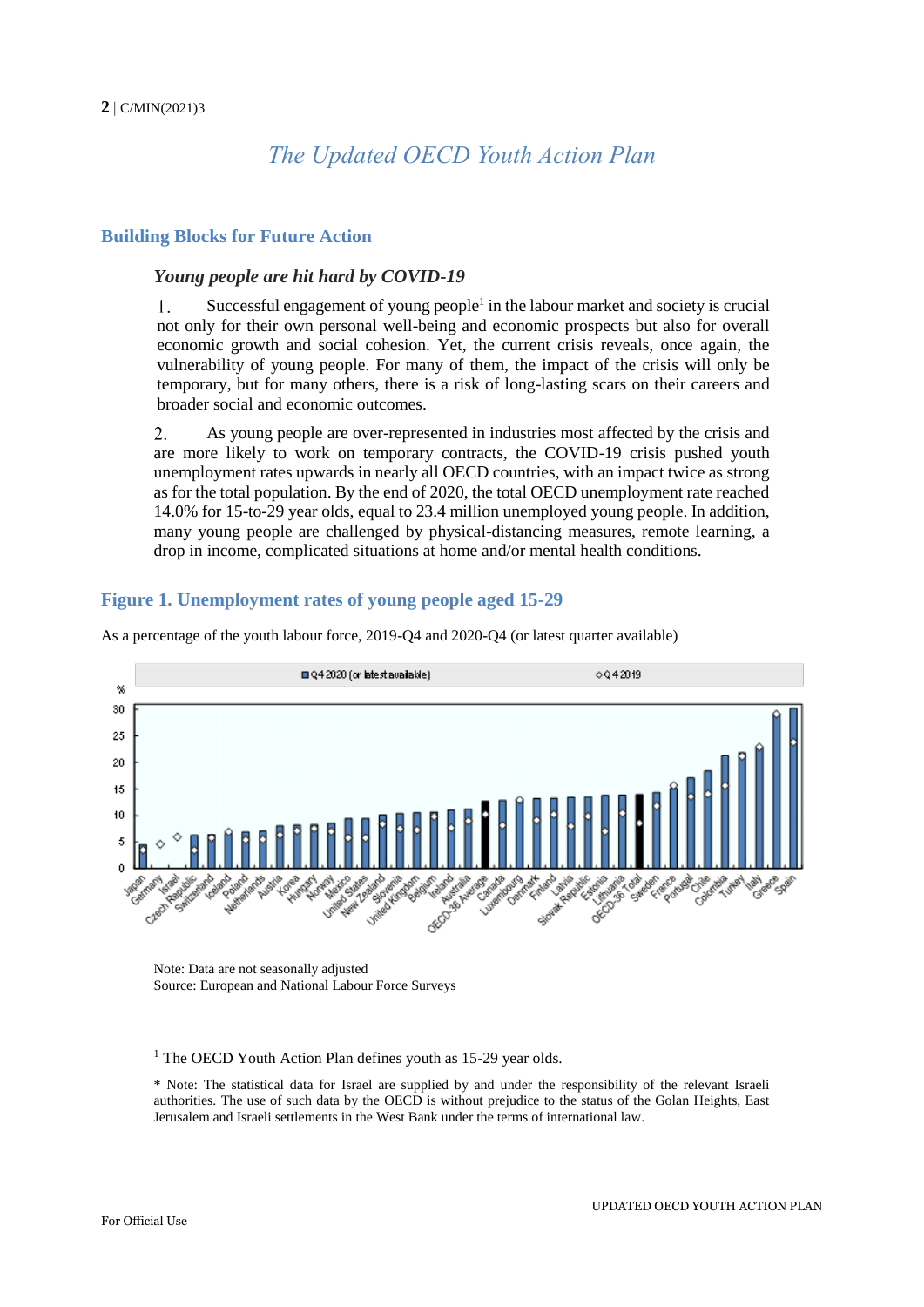# *The Updated OECD Youth Action Plan*

# **Building Blocks for Future Action**

#### *Young people are hit hard by COVID-19*

Successful engagement of young people<sup>1</sup> in the labour market and society is crucial 1. not only for their own personal well-being and economic prospects but also for overall economic growth and social cohesion. Yet, the current crisis reveals, once again, the vulnerability of young people. For many of them, the impact of the crisis will only be temporary, but for many others, there is a risk of long-lasting scars on their careers and broader social and economic outcomes.

 $\overline{2}$ . As young people are over-represented in industries most affected by the crisis and are more likely to work on temporary contracts, the COVID-19 crisis pushed youth unemployment rates upwards in nearly all OECD countries, with an impact twice as strong as for the total population. By the end of 2020, the total OECD unemployment rate reached 14.0% for 15-to-29 year olds, equal to 23.4 million unemployed young people. In addition, many young people are challenged by physical-distancing measures, remote learning, a drop in income, complicated situations at home and/or mental health conditions.

# **Figure 1. Unemployment rates of young people aged 15-29**



As a percentage of the youth labour force, 2019-Q4 and 2020-Q4 (or latest quarter available)

Note: Data are not seasonally adjusted Source: European and National Labour Force Surveys

-

<sup>&</sup>lt;sup>1</sup> The OECD Youth Action Plan defines youth as 15-29 year olds.

<sup>\*</sup> Note: The statistical data for Israel are supplied by and under the responsibility of the relevant Israeli authorities. The use of such data by the OECD is without prejudice to the status of the Golan Heights, East Jerusalem and Israeli settlements in the West Bank under the terms of international law.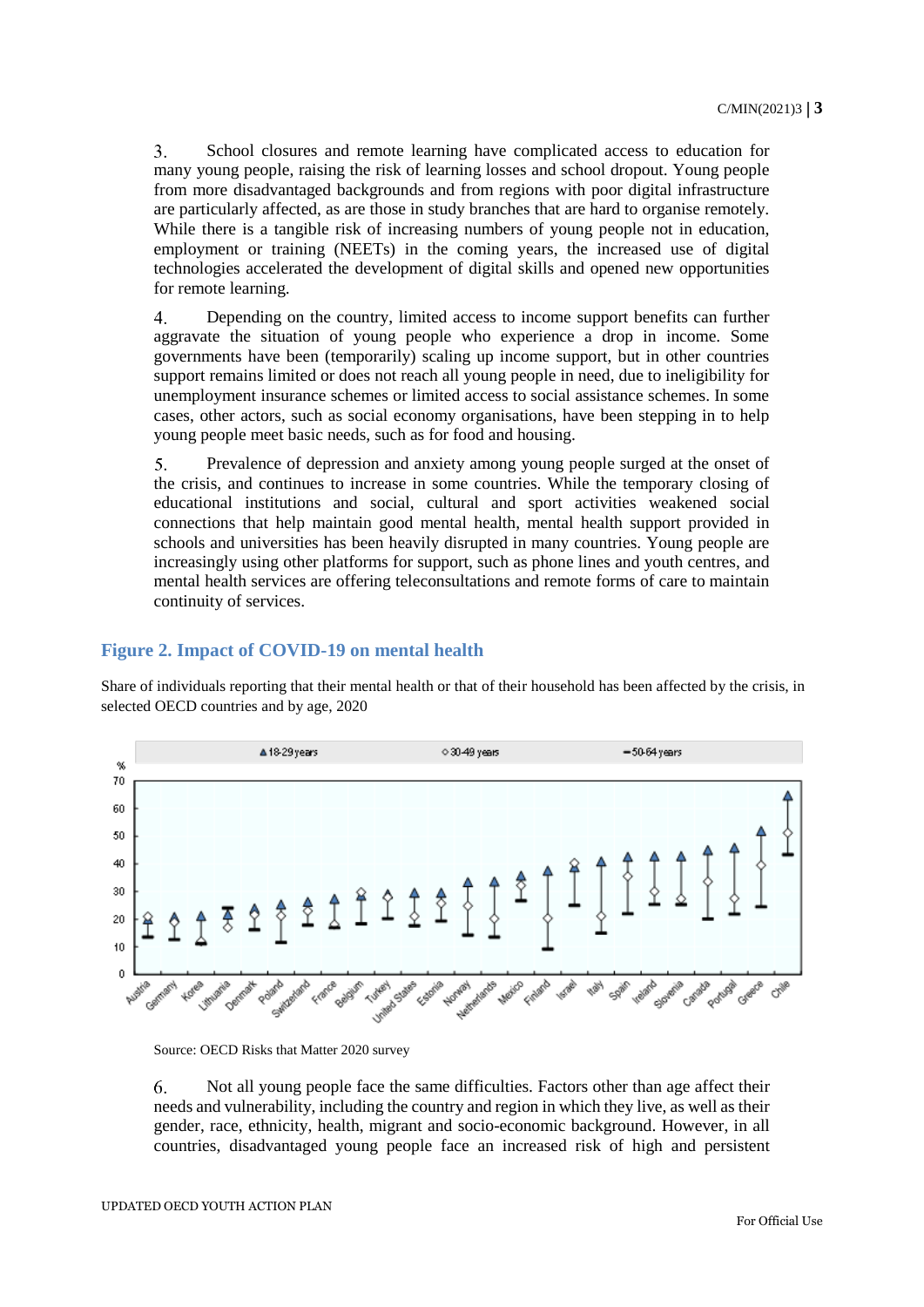$\overline{3}$ . School closures and remote learning have complicated access to education for many young people, raising the risk of learning losses and school dropout. Young people from more disadvantaged backgrounds and from regions with poor digital infrastructure are particularly affected, as are those in study branches that are hard to organise remotely. While there is a tangible risk of increasing numbers of young people not in education, employment or training (NEETs) in the coming years, the increased use of digital technologies accelerated the development of digital skills and opened new opportunities for remote learning.

 $\overline{4}$ . Depending on the country, limited access to income support benefits can further aggravate the situation of young people who experience a drop in income. Some governments have been (temporarily) scaling up income support, but in other countries support remains limited or does not reach all young people in need, due to ineligibility for unemployment insurance schemes or limited access to social assistance schemes. In some cases, other actors, such as social economy organisations, have been stepping in to help young people meet basic needs, such as for food and housing.

 $5<sub>1</sub>$ Prevalence of depression and anxiety among young people surged at the onset of the crisis, and continues to increase in some countries. While the temporary closing of educational institutions and social, cultural and sport activities weakened social connections that help maintain good mental health, mental health support provided in schools and universities has been heavily disrupted in many countries. Young people are increasingly using other platforms for support, such as phone lines and youth centres, and mental health services are offering teleconsultations and remote forms of care to maintain continuity of services.

# **Figure 2. Impact of COVID-19 on mental health**

Share of individuals reporting that their mental health or that of their household has been affected by the crisis, in selected OECD countries and by age, 2020



Source: OECD Risks that Matter 2020 survey

6. Not all young people face the same difficulties. Factors other than age affect their needs and vulnerability, including the country and region in which they live, as well as their gender, race, ethnicity, health, migrant and socio-economic background. However, in all countries, disadvantaged young people face an increased risk of high and persistent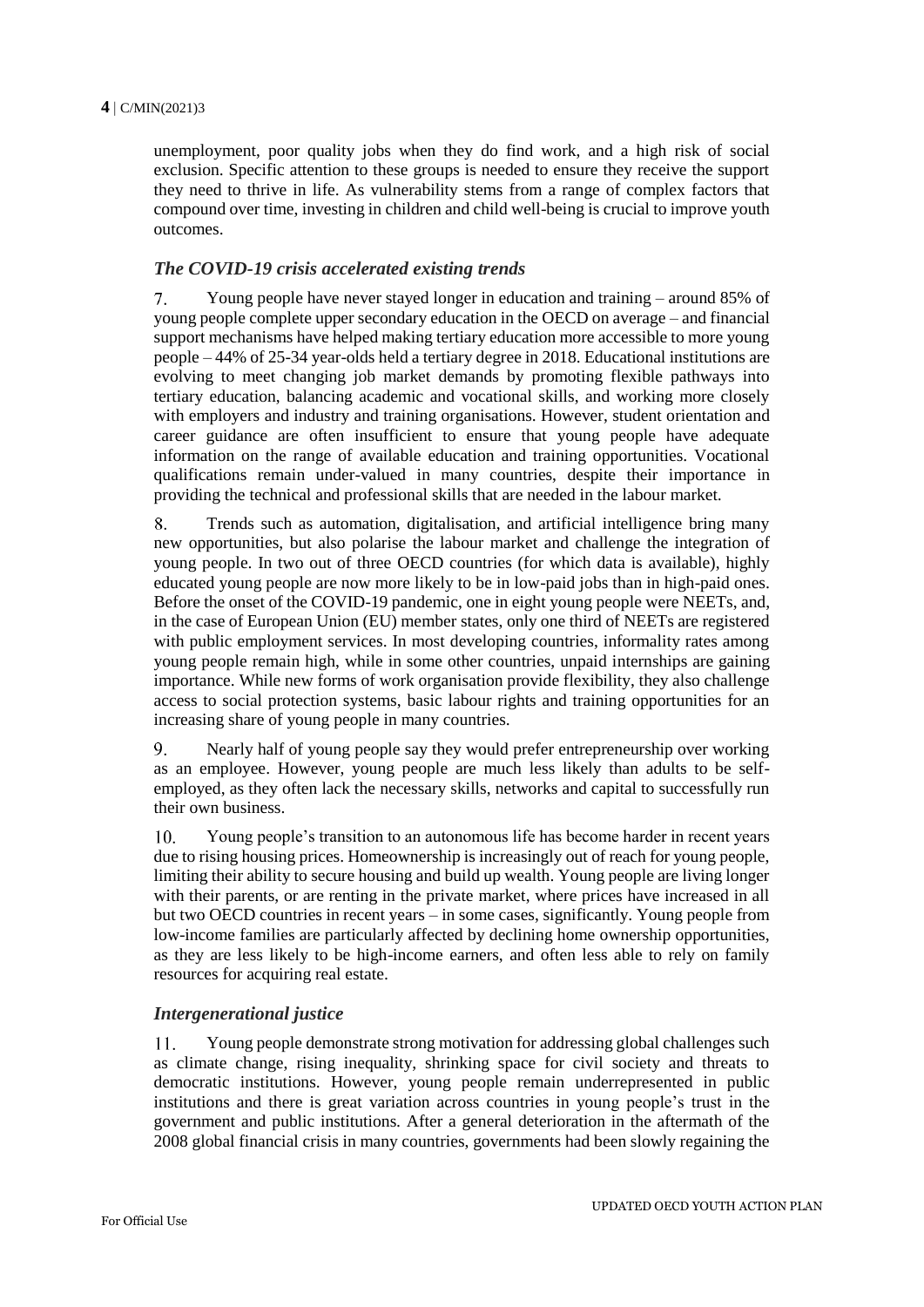unemployment, poor quality jobs when they do find work, and a high risk of social exclusion. Specific attention to these groups is needed to ensure they receive the support they need to thrive in life. As vulnerability stems from a range of complex factors that compound over time, investing in children and child well-being is crucial to improve youth outcomes.

# *The COVID-19 crisis accelerated existing trends*

 $7.$ Young people have never stayed longer in education and training – around 85% of young people complete upper secondary education in the OECD on average – and financial support mechanisms have helped making tertiary education more accessible to more young people – 44% of 25-34 year-olds held a tertiary degree in 2018. Educational institutions are evolving to meet changing job market demands by promoting flexible pathways into tertiary education, balancing academic and vocational skills, and working more closely with employers and industry and training organisations. However, student orientation and career guidance are often insufficient to ensure that young people have adequate information on the range of available education and training opportunities. Vocational qualifications remain under-valued in many countries, despite their importance in providing the technical and professional skills that are needed in the labour market.

 $8<sup>1</sup>$ Trends such as automation, digitalisation, and artificial intelligence bring many new opportunities, but also polarise the labour market and challenge the integration of young people. In two out of three OECD countries (for which data is available), highly educated young people are now more likely to be in low-paid jobs than in high-paid ones. Before the onset of the COVID-19 pandemic, one in eight young people were NEETs, and, in the case of European Union (EU) member states, only one third of NEETs are registered with public employment services. In most developing countries, informality rates among young people remain high, while in some other countries, unpaid internships are gaining importance. While new forms of work organisation provide flexibility, they also challenge access to social protection systems, basic labour rights and training opportunities for an increasing share of young people in many countries.

 $9<sub>1</sub>$ Nearly half of young people say they would prefer entrepreneurship over working as an employee. However, young people are much less likely than adults to be selfemployed, as they often lack the necessary skills, networks and capital to successfully run their own business.

Young people's transition to an autonomous life has become harder in recent years 10. due to rising housing prices. Homeownership is increasingly out of reach for young people, limiting their ability to secure housing and build up wealth. Young people are living longer with their parents, or are renting in the private market, where prices have increased in all but two OECD countries in recent years – in some cases, significantly. Young people from low-income families are particularly affected by declining home ownership opportunities, as they are less likely to be high-income earners, and often less able to rely on family resources for acquiring real estate.

# *Intergenerational justice*

11. Young people demonstrate strong motivation for addressing global challenges such as climate change, rising inequality, shrinking space for civil society and threats to democratic institutions. However, young people remain underrepresented in public institutions and there is great variation across countries in young people's trust in the government and public institutions. After a general deterioration in the aftermath of the 2008 global financial crisis in many countries, governments had been slowly regaining the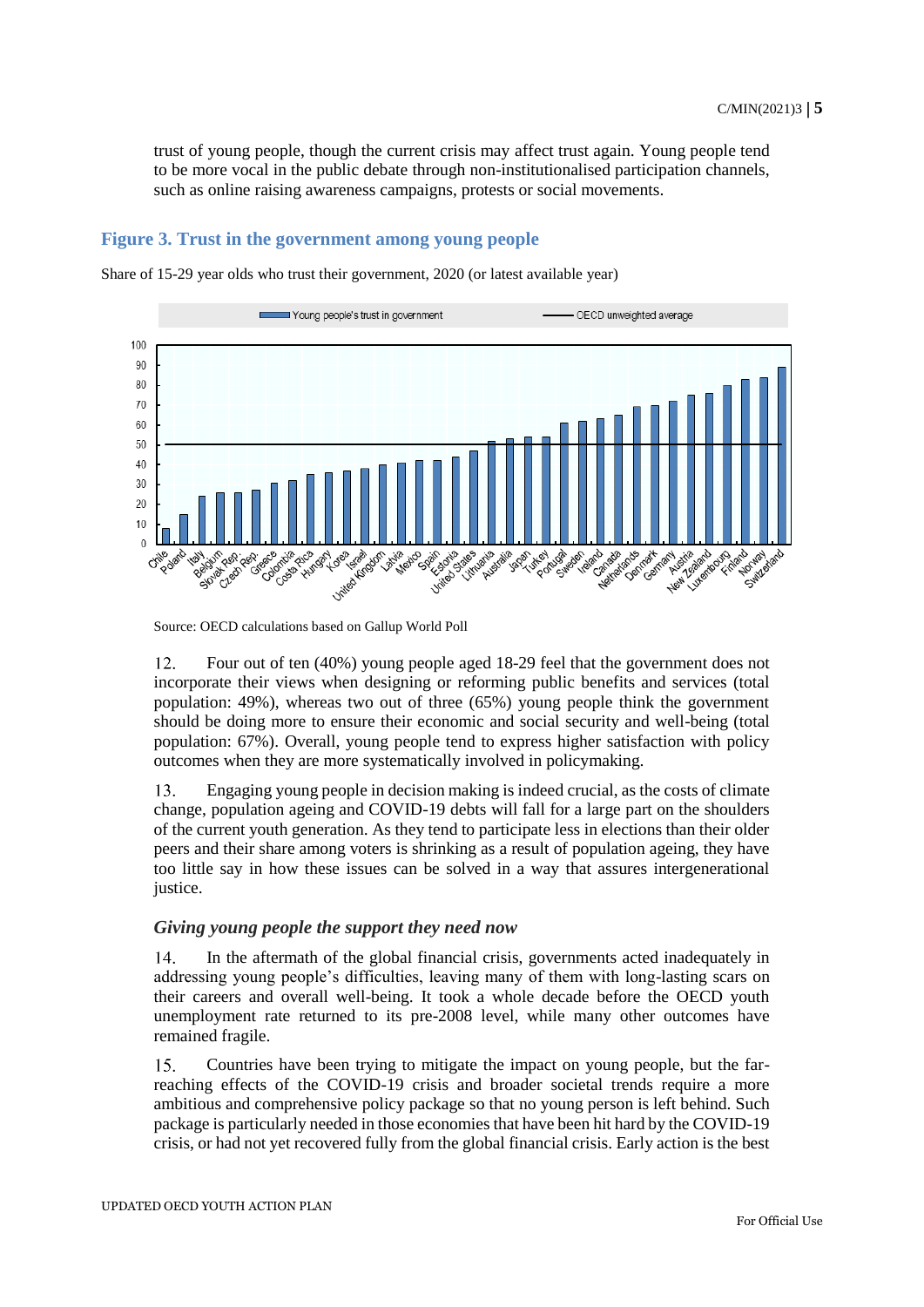trust of young people, though the current crisis may affect trust again. Young people tend to be more vocal in the public debate through non-institutionalised participation channels, such as online raising awareness campaigns, protests or social movements.

#### **Figure 3. Trust in the government among young people**

Share of 15-29 year olds who trust their government, 2020 (or latest available year)



Source: OECD calculations based on Gallup World Poll

 $12.$ Four out of ten (40%) young people aged 18-29 feel that the government does not incorporate their views when designing or reforming public benefits and services (total population: 49%), whereas two out of three (65%) young people think the government should be doing more to ensure their economic and social security and well-being (total population: 67%). Overall, young people tend to express higher satisfaction with policy outcomes when they are more systematically involved in policymaking.

Engaging young people in decision making is indeed crucial, as the costs of climate 13. change, population ageing and COVID-19 debts will fall for a large part on the shoulders of the current youth generation. As they tend to participate less in elections than their older peers and their share among voters is shrinking as a result of population ageing, they have too little say in how these issues can be solved in a way that assures intergenerational justice.

# *Giving young people the support they need now*

 $14.$ In the aftermath of the global financial crisis, governments acted inadequately in addressing young people's difficulties, leaving many of them with long-lasting scars on their careers and overall well-being. It took a whole decade before the OECD youth unemployment rate returned to its pre-2008 level, while many other outcomes have remained fragile.

Countries have been trying to mitigate the impact on young people, but the far- $15.$ reaching effects of the COVID-19 crisis and broader societal trends require a more ambitious and comprehensive policy package so that no young person is left behind. Such package is particularly needed in those economies that have been hit hard by the COVID-19 crisis, or had not yet recovered fully from the global financial crisis. Early action is the best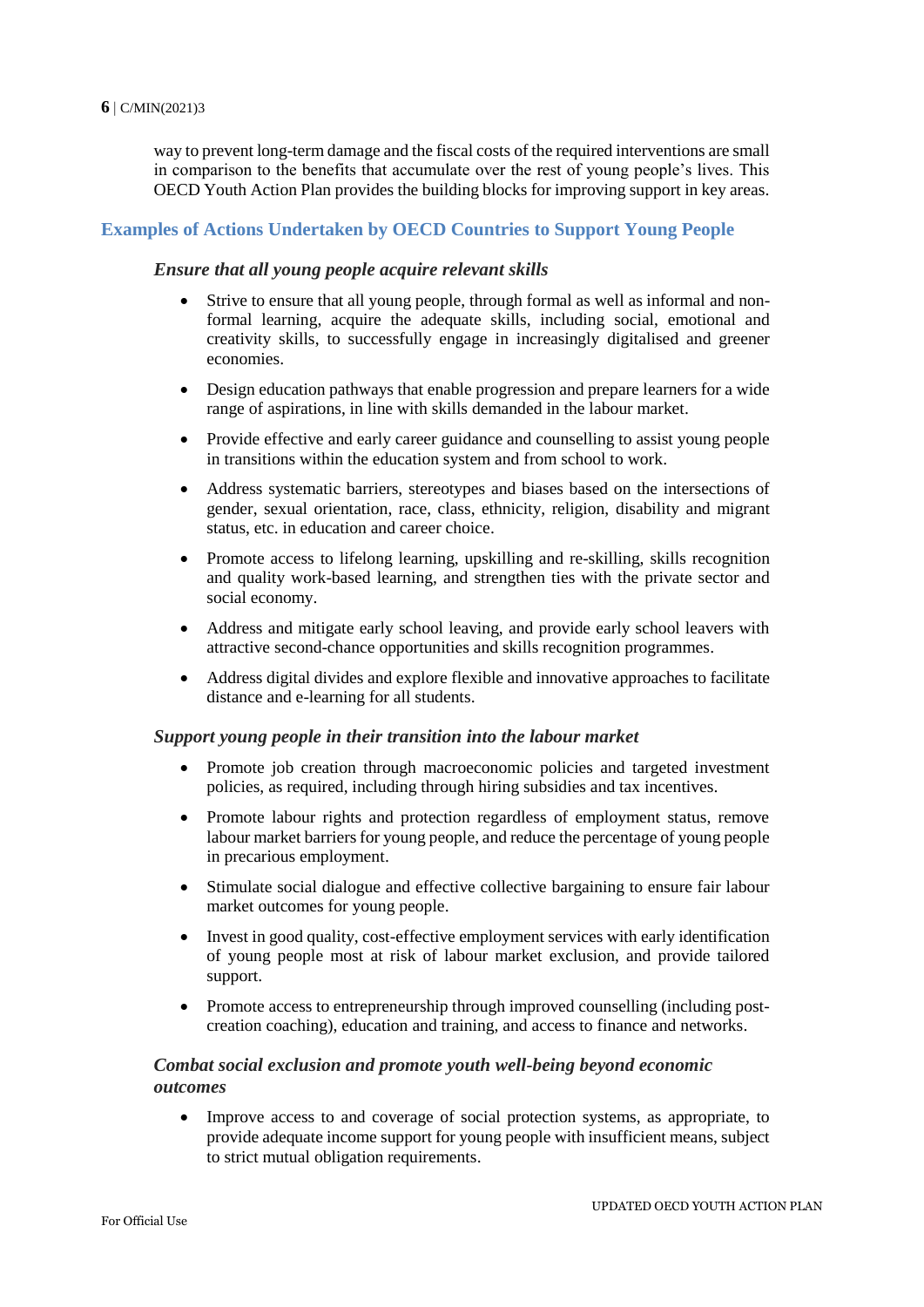#### **6** C/MIN(2021)3

way to prevent long-term damage and the fiscal costs of the required interventions are small in comparison to the benefits that accumulate over the rest of young people's lives. This OECD Youth Action Plan provides the building blocks for improving support in key areas.

# **Examples of Actions Undertaken by OECD Countries to Support Young People**

# *Ensure that all young people acquire relevant skills*

- Strive to ensure that all young people, through formal as well as informal and nonformal learning, acquire the adequate skills, including social, emotional and creativity skills, to successfully engage in increasingly digitalised and greener economies.
- Design education pathways that enable progression and prepare learners for a wide range of aspirations, in line with skills demanded in the labour market.
- Provide effective and early career guidance and counselling to assist young people in transitions within the education system and from school to work.
- Address systematic barriers, stereotypes and biases based on the intersections of gender, sexual orientation, race, class, ethnicity, religion, disability and migrant status, etc. in education and career choice.
- Promote access to lifelong learning, upskilling and re-skilling, skills recognition and quality work-based learning, and strengthen ties with the private sector and social economy.
- Address and mitigate early school leaving, and provide early school leavers with attractive second-chance opportunities and skills recognition programmes.
- Address digital divides and explore flexible and innovative approaches to facilitate distance and e-learning for all students.

# *Support young people in their transition into the labour market*

- Promote job creation through macroeconomic policies and targeted investment policies, as required, including through hiring subsidies and tax incentives.
- Promote labour rights and protection regardless of employment status, remove labour market barriers for young people, and reduce the percentage of young people in precarious employment.
- Stimulate social dialogue and effective collective bargaining to ensure fair labour market outcomes for young people.
- Invest in good quality, cost-effective employment services with early identification of young people most at risk of labour market exclusion, and provide tailored support.
- Promote access to entrepreneurship through improved counselling (including postcreation coaching), education and training, and access to finance and networks.

# *Combat social exclusion and promote youth well-being beyond economic outcomes*

 Improve access to and coverage of social protection systems, as appropriate, to provide adequate income support for young people with insufficient means, subject to strict mutual obligation requirements.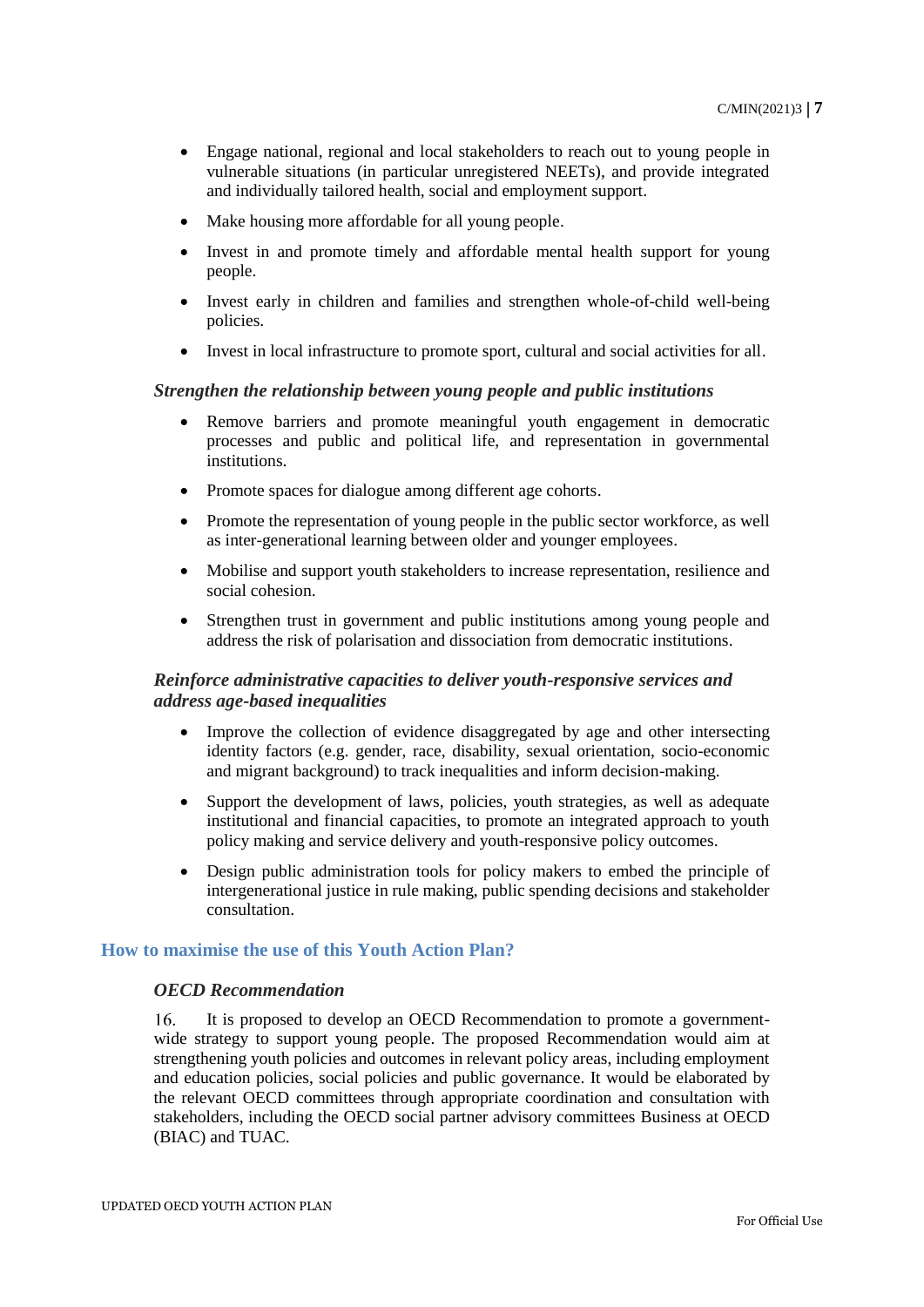- Engage national, regional and local stakeholders to reach out to young people in vulnerable situations (in particular unregistered NEETs), and provide integrated and individually tailored health, social and employment support.
- Make housing more affordable for all young people.
- Invest in and promote timely and affordable mental health support for young people.
- Invest early in children and families and strengthen whole-of-child well-being policies.
- Invest in local infrastructure to promote sport, cultural and social activities for all.

# *Strengthen the relationship between young people and public institutions*

- Remove barriers and promote meaningful youth engagement in democratic processes and public and political life, and representation in governmental institutions.
- Promote spaces for dialogue among different age cohorts.
- Promote the representation of young people in the public sector workforce, as well as inter-generational learning between older and younger employees.
- Mobilise and support youth stakeholders to increase representation, resilience and social cohesion.
- Strengthen trust in government and public institutions among young people and address the risk of polarisation and dissociation from democratic institutions.

# *Reinforce administrative capacities to deliver youth-responsive services and address age-based inequalities*

- Improve the collection of evidence disaggregated by age and other intersecting identity factors (e.g. gender, race, disability, sexual orientation, socio-economic and migrant background) to track inequalities and inform decision-making.
- Support the development of laws, policies, youth strategies, as well as adequate institutional and financial capacities, to promote an integrated approach to youth policy making and service delivery and youth-responsive policy outcomes.
- Design public administration tools for policy makers to embed the principle of intergenerational justice in rule making, public spending decisions and stakeholder consultation.

# **How to maximise the use of this Youth Action Plan?**

# *OECD Recommendation*

 $16.$ It is proposed to develop an OECD Recommendation to promote a governmentwide strategy to support young people. The proposed Recommendation would aim at strengthening youth policies and outcomes in relevant policy areas, including employment and education policies, social policies and public governance. It would be elaborated by the relevant OECD committees through appropriate coordination and consultation with stakeholders, including the OECD social partner advisory committees Business at OECD (BIAC) and TUAC.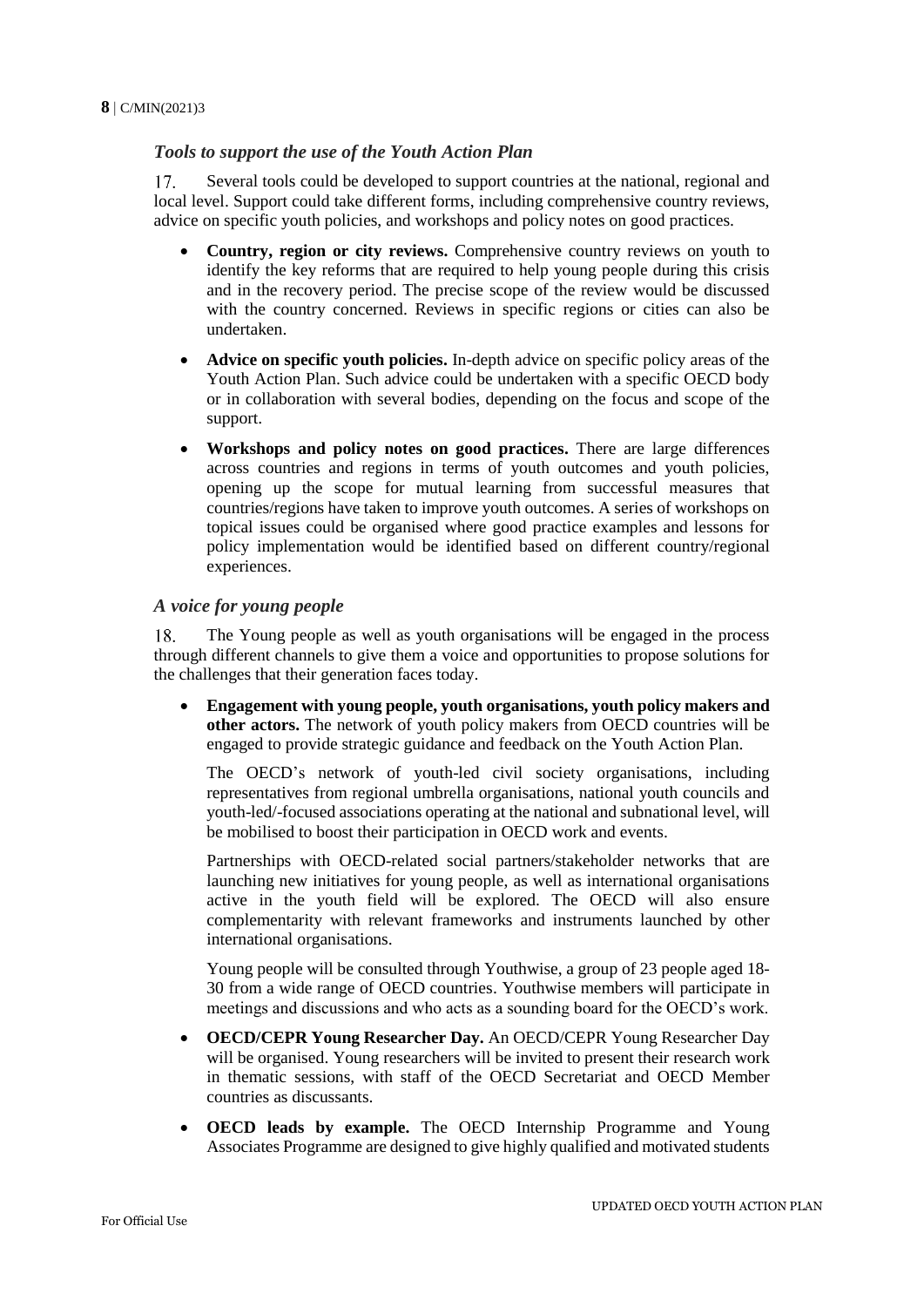# *Tools to support the use of the Youth Action Plan*

17. Several tools could be developed to support countries at the national, regional and local level. Support could take different forms, including comprehensive country reviews, advice on specific youth policies, and workshops and policy notes on good practices.

- **Country, region or city reviews.** Comprehensive country reviews on youth to identify the key reforms that are required to help young people during this crisis and in the recovery period. The precise scope of the review would be discussed with the country concerned. Reviews in specific regions or cities can also be undertaken.
- **Advice on specific youth policies.** In-depth advice on specific policy areas of the Youth Action Plan. Such advice could be undertaken with a specific OECD body or in collaboration with several bodies, depending on the focus and scope of the support.
- **Workshops and policy notes on good practices.** There are large differences across countries and regions in terms of youth outcomes and youth policies, opening up the scope for mutual learning from successful measures that countries/regions have taken to improve youth outcomes. A series of workshops on topical issues could be organised where good practice examples and lessons for policy implementation would be identified based on different country/regional experiences.

# *A voice for young people*

18. The Young people as well as youth organisations will be engaged in the process through different channels to give them a voice and opportunities to propose solutions for the challenges that their generation faces today.

 **Engagement with young people, youth organisations, youth policy makers and other actors.** The network of youth policy makers from OECD countries will be engaged to provide strategic guidance and feedback on the Youth Action Plan.

The OECD's network of youth-led civil society organisations, including representatives from regional umbrella organisations, national youth councils and youth-led/-focused associations operating at the national and subnational level, will be mobilised to boost their participation in OECD work and events.

Partnerships with OECD-related social partners/stakeholder networks that are launching new initiatives for young people, as well as international organisations active in the youth field will be explored. The OECD will also ensure complementarity with relevant frameworks and instruments launched by other international organisations.

Young people will be consulted through Youthwise, a group of 23 people aged 18- 30 from a wide range of OECD countries. Youthwise members will participate in meetings and discussions and who acts as a sounding board for the OECD's work.

- **OECD/CEPR Young Researcher Day.** An OECD/CEPR Young Researcher Day will be organised. Young researchers will be invited to present their research work in thematic sessions, with staff of the OECD Secretariat and OECD Member countries as discussants.
- **OECD leads by example.** The OECD Internship Programme and Young Associates Programme are designed to give highly qualified and motivated students